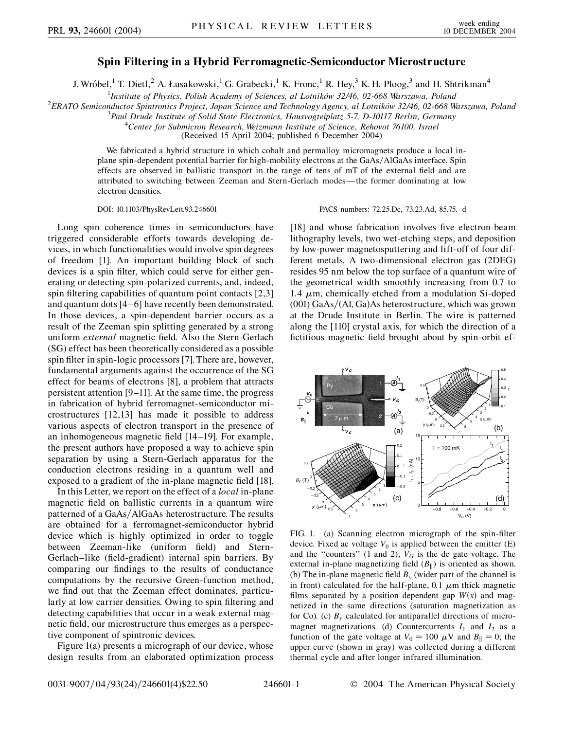## **Spin Filtering in a Hybrid Ferromagnetic-Semiconductor Microstructure**

J. Wróbel,<sup>1</sup> T. Dietl,<sup>2</sup> A. Łusakowski,<sup>1</sup> G. Grabecki,<sup>1</sup> K. Fronc,<sup>1</sup> R. Hey,<sup>3</sup> K. H. Ploog,<sup>3</sup> and H. Shtrikman<sup>4</sup>

<sup>1</sup>*Institute of Physics, Polish Academy of Sciences, al Lotników 32/46, 02-668 Warszawa, Poland<sup>2</sup> FPATO Semiconductor Spintronics Project, Japan Science and Technology Agency al Lotników 32/46, 02.668 W* 

<sup>2</sup> ERATO Semiconductor Spintronics Project, Japan Science and Technology Agency, al Lotników 32/46, 02-668 Warszawa, Poland

*Paul Drude Institute of Solid State Electronics, Hausvogteiplatz 5-7, D-10117 Berlin, Germany* <sup>4</sup>

*Center for Submicron Research, Weizmann Institute of Science, Rehovot 76100, Israel*

(Received 15 April 2004; published 6 December 2004)

We fabricated a hybrid structure in which cobalt and permalloy micromagnets produce a local inplane spin-dependent potential barrier for high-mobility electrons at the GaAs/AlGaAs interface. Spin effects are observed in ballistic transport in the range of tens of mT of the external field and are attributed to switching between Zeeman and Stern-Gerlach modes—the former dominating at low electron densities.

Long spin coherence times in semiconductors have triggered considerable efforts towards developing devices, in which functionalities would involve spin degrees of freedom [1]. An important building block of such devices is a spin filter, which could serve for either generating or detecting spin-polarized currents, and, indeed, spin filtering capabilities of quantum point contacts [2,3] and quantum dots [4–6] have recently been demonstrated. In those devices, a spin-dependent barrier occurs as a result of the Zeeman spin splitting generated by a strong uniform *external* magnetic field. Also the Stern-Gerlach (SG) effect has been theoretically considered as a possible spin filter in spin-logic processors [7]. There are, however, fundamental arguments against the occurrence of the SG effect for beams of electrons [8], a problem that attracts persistent attention [9–11]. At the same time, the progress in fabrication of hybrid ferromagnet-semiconductor microstructures [12,13] has made it possible to address various aspects of electron transport in the presence of an inhomogeneous magnetic field [14–19]. For example, the present authors have proposed a way to achieve spin separation by using a Stern-Gerlach apparatus for the conduction electrons residing in a quantum well and exposed to a gradient of the in-plane magnetic field [18].

In this Letter, we report on the effect of a *local* in-plane magnetic field on ballistic currents in a quantum wire patterned of a GaAs/AlGaAs heterostructure. The results are obtained for a ferromagnet-semiconductor hybrid device which is highly optimized in order to toggle between Zeeman-like (uniform field) and Stern-Gerlach–like (field-gradient) internal spin barriers. By comparing our findings to the results of conductance computations by the recursive Green-function method, we find out that the Zeeman effect dominates, particularly at low carrier densities. Owing to spin filtering and detecting capabilities that occur in a weak external magnetic field, our microstructure thus emerges as a perspective component of spintronic devices.

Figure 1(a) presents a micrograph of our device, whose design results from an elaborated optimization process

DOI: 10.1103/PhysRevLett.93.246601 PACS numbers: 72.25.Dc, 73.23.Ad, 85.75.–d

[18] and whose fabrication involves five electron-beam lithography levels, two wet-etching steps, and deposition by low-power magnetosputtering and lift-off of four different metals. A two-dimensional electron gas (2DEG) resides 95 nm below the top surface of a quantum wire of the geometrical width smoothly increasing from 0.7 to 1.4  $\mu$ m, chemically etched from a modulation Si-doped (001) GaAs/(Al, Ga)As heterostructure, which was grown at the Drude Institute in Berlin. The wire is patterned along the [110] crystal axis, for which the direction of a fictitious magnetic field brought about by spin-orbit ef-



FIG. 1. (a) Scanning electron micrograph of the spin-filter device. Fixed ac voltage  $V_0$  is applied between the emitter  $(E)$ and the "counters" (1 and 2);  $V_G$  is the dc gate voltage. The external in-plane magnetizing field  $(B_{\parallel})$  is oriented as shown. (b) The in-plane magnetic field  $B_y$  (wider part of the channel is in front) calculated for the half-plane,  $0.1 \mu$ m thick magnetic films separated by a position dependent gap  $W(x)$  and magnetized in the same directions (saturation magnetization as for Co). (c)  $B<sub>v</sub>$  calculated for antiparallel directions of micromagnet magnetizations. (d) Countercurrents  $I_1$  and  $I_2$  as a function of the gate voltage at  $V_0 = 100 \mu V$  and  $B_{\parallel} = 0$ ; the upper curve (shown in gray) was collected during a different thermal cycle and after longer infrared illumination.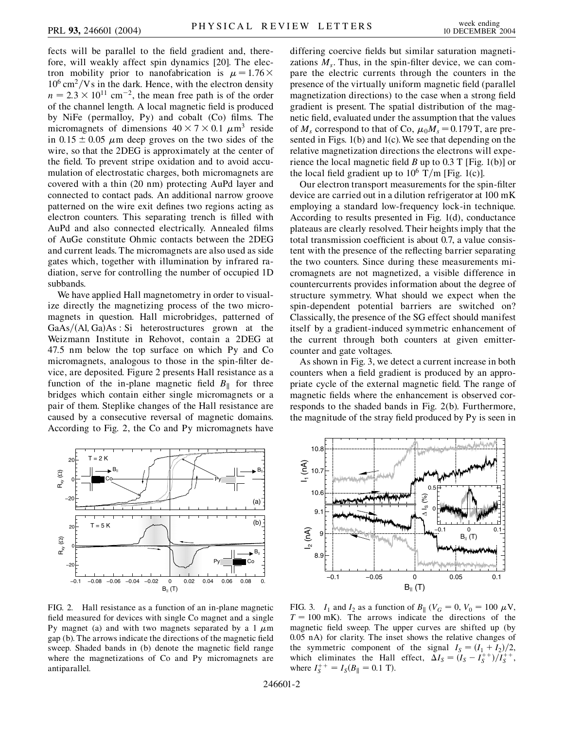fects will be parallel to the field gradient and, therefore, will weakly affect spin dynamics [20]. The electron mobility prior to nanofabrication is  $\mu = 1.76 \times$  $10^6$  cm<sup>2</sup>/Vs in the dark. Hence, with the electron density  $n = 2.3 \times 10^{11}$  cm<sup>-2</sup>, the mean free path is of the order of the channel length. A local magnetic field is produced by NiFe (permalloy, Py) and cobalt (Co) films. The micromagnets of dimensions  $40 \times 7 \times 0.1 \mu m^3$  reside in  $0.15 \pm 0.05$   $\mu$ m deep groves on the two sides of the wire, so that the 2DEG is approximately at the center of the field. To prevent stripe oxidation and to avoid accumulation of electrostatic charges, both micromagnets are covered with a thin (20 nm) protecting AuPd layer and connected to contact pads. An additional narrow groove patterned on the wire exit defines two regions acting as electron counters. This separating trench is filled with AuPd and also connected electrically. Annealed films of AuGe constitute Ohmic contacts between the 2DEG and current leads. The micromagnets are also used as side gates which, together with illumination by infrared radiation, serve for controlling the number of occupied 1D subbands.

We have applied Hall magnetometry in order to visualize directly the magnetizing process of the two micromagnets in question. Hall microbridges, patterned of GaAs/(Al, Ga)As : Si heterostructures grown at the Weizmann Institute in Rehovot, contain a 2DEG at 47.5 nm below the top surface on which Py and Co micromagnets, analogous to those in the spin-filter device, are deposited. Figure 2 presents Hall resistance as a function of the in-plane magnetic field  $B_{\parallel}$  for three bridges which contain either single micromagnets or a pair of them. Steplike changes of the Hall resistance are caused by a consecutive reversal of magnetic domains. According to Fig. 2, the Co and Py micromagnets have



FIG. 2. Hall resistance as a function of an in-plane magnetic field measured for devices with single Co magnet and a single Py magnet (a) and with two magnets separated by a 1  $\mu$ m gap (b). The arrows indicate the directions of the magnetic field sweep. Shaded bands in (b) denote the magnetic field range where the magnetizations of Co and Py micromagnets are antiparallel.

differing coercive fields but similar saturation magnetizations  $M_s$ . Thus, in the spin-filter device, we can compare the electric currents through the counters in the presence of the virtually uniform magnetic field (parallel magnetization directions) to the case when a strong field gradient is present. The spatial distribution of the magnetic field, evaluated under the assumption that the values of  $M_s$  correspond to that of Co,  $\mu_0 M_s = 0.179$  T, are presented in Figs. 1(b) and 1(c). We see that depending on the relative magnetization directions the electrons will experience the local magnetic field *B* up to 0.3 T [Fig. 1(b)] or the local field gradient up to  $10^6$  T/m [Fig. 1(c)].

Our electron transport measurements for the spin-filter device are carried out in a dilution refrigerator at 100 mK employing a standard low-frequency lock-in technique. According to results presented in Fig. 1(d), conductance plateaus are clearly resolved. Their heights imply that the total transmission coefficient is about 0.7, a value consistent with the presence of the reflecting barrier separating the two counters. Since during these measurements micromagnets are not magnetized, a visible difference in countercurrents provides information about the degree of structure symmetry. What should we expect when the spin-dependent potential barriers are switched on? Classically, the presence of the SG effect should manifest itself by a gradient-induced symmetric enhancement of the current through both counters at given emittercounter and gate voltages.

As shown in Fig. 3, we detect a current increase in both counters when a field gradient is produced by an appropriate cycle of the external magnetic field. The range of magnetic fields where the enhancement is observed corresponds to the shaded bands in Fig. 2(b). Furthermore, the magnitude of the stray field produced by Py is seen in



FIG. 3. *I*<sub>1</sub> and *I*<sub>2</sub> as a function of *B*<sub>||</sub> ( $V_G = 0$ ,  $V_0 = 100 \mu$ V,  $T = 100$  mK). The arrows indicate the directions of the magnetic field sweep. The upper curves are shifted up (by 0.05 nA) for clarity. The inset shows the relative changes of the symmetric component of the signal  $I_S = (I_1 + I_2)/2$ , which eliminates the Hall effect,  $\Delta I_s = (I_s - I_s^{+})/I_s^{++}$ , where  $I_S^{++} = I_S(B_{\parallel} = 0.1 \text{ T}).$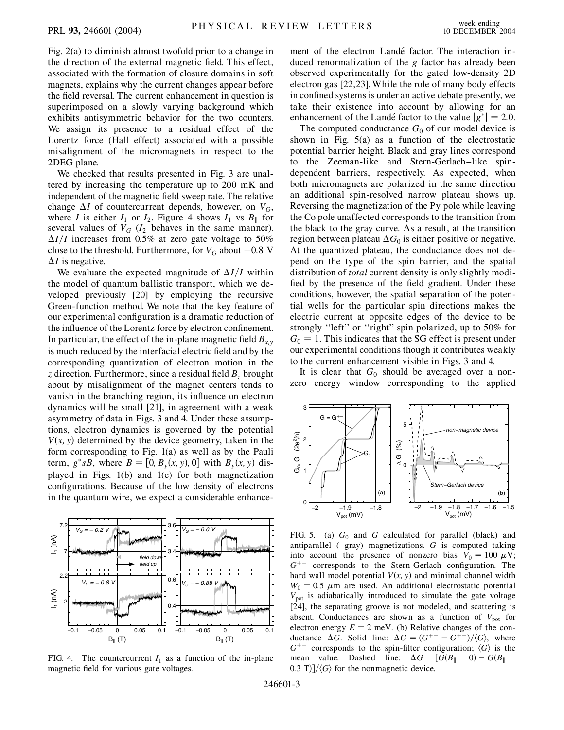Fig. 2(a) to diminish almost twofold prior to a change in the direction of the external magnetic field. This effect, associated with the formation of closure domains in soft magnets, explains why the current changes appear before the field reversal. The current enhancement in question is superimposed on a slowly varying background which exhibits antisymmetric behavior for the two counters. We assign its presence to a residual effect of the Lorentz force (Hall effect) associated with a possible misalignment of the micromagnets in respect to the 2DEG plane.

We checked that results presented in Fig. 3 are unaltered by increasing the temperature up to 200 mK and independent of the magnetic field sweep rate. The relative change  $\Delta I$  of countercurrent depends, however, on  $V_G$ , where *I* is either  $I_1$  or  $I_2$ . Figure 4 shows  $I_1$  vs  $B_{\parallel}$  for several values of  $V_G$  ( $I_2$  behaves in the same manner).  $\Delta I/I$  increases from 0.5% at zero gate voltage to 50% close to the threshold. Furthermore, for  $V_G$  about  $-0.8$  V  $\Delta I$  is negative.

We evaluate the expected magnitude of  $\Delta I/I$  within the model of quantum ballistic transport, which we developed previously [20] by employing the recursive Green-function method. We note that the key feature of our experimental configuration is a dramatic reduction of the influence of the Lorentz force by electron confinement. In particular, the effect of the in-plane magnetic field  $B_{xy}$ is much reduced by the interfacial electric field and by the corresponding quantization of electron motion in the  $\bar{z}$  direction. Furthermore, since a residual field  $B_z$  brought about by misalignment of the magnet centers tends to vanish in the branching region, its influence on electron dynamics will be small [21], in agreement with a weak asymmetry of data in Figs. 3 and 4. Under these assumptions, electron dynamics is governed by the potential  $V(x, y)$  determined by the device geometry, taken in the form corresponding to Fig. 1(a) as well as by the Pauli term,  $g^*sB$ , where  $B = [0, B_y(x, y), 0]$  with  $B_y(x, y)$  displayed in Figs. 1(b) and 1(c) for both magnetization configurations. Because of the low density of electrons in the quantum wire, we expect a considerable enhance-



FIG. 4. The countercurrent  $I_1$  as a function of the in-plane magnetic field for various gate voltages.

ment of the electron Landé factor. The interaction induced renormalization of the *g* factor has already been observed experimentally for the gated low-density 2D electron gas [22,23]. While the role of many body effects in confined systems is under an active debate presently, we take their existence into account by allowing for an enhancement of the Landé factor to the value  $|g^*| = 2.0$ .

The computed conductance  $G_0$  of our model device is shown in Fig. 5(a) as a function of the electrostatic potential barrier height. Black and gray lines correspond to the Zeeman-like and Stern-Gerlach–like spindependent barriers, respectively. As expected, when both micromagnets are polarized in the same direction an additional spin-resolved narrow plateau shows up. Reversing the magnetization of the Py pole while leaving the Co pole unaffected corresponds to the transition from the black to the gray curve. As a result, at the transition region between plateau  $\Delta G_0$  is either positive or negative. At the quantized plateau, the conductance does not depend on the type of the spin barrier, and the spatial distribution of *total* current density is only slightly modified by the presence of the field gradient. Under these conditions, however, the spatial separation of the potential wells for the particular spin directions makes the electric current at opposite edges of the device to be strongly ''left'' or ''right'' spin polarized, up to 50% for  $G_0 = 1$ . This indicates that the SG effect is present under our experimental conditions though it contributes weakly to the current enhancement visible in Figs. 3 and 4.

It is clear that  $G_0$  should be averaged over a nonzero energy window corresponding to the applied



FIG. 5. (a)  $G_0$  and *G* calculated for parallel (black) and antiparallel ( gray) magnetizations. *G* is computed taking into account the presence of nonzero bias  $V_0 = 100 \mu V$ ;  $G^{+-}$  corresponds to the Stern-Gerlach configuration. The hard wall model potential  $V(x, y)$  and minimal channel width  $W_0 = 0.5$   $\mu$ m are used. An additional electrostatic potential  $V_{pot}$  is adiabatically introduced to simulate the gate voltage [24], the separating groove is not modeled, and scattering is absent. Conductances are shown as a function of  $V_{pot}$  for electron energy  $E = 2$  meV. (b) Relative changes of the conductance  $\Delta G$ . Solid line:  $\Delta G = (G^{+-} - G^{++})/\langle G \rangle$ , where  $G^{++}$  corresponds to the spin-filter configuration;  $\langle G \rangle$  is the mean value. Dashed line:  $\Delta G = [G(B_{\parallel} = 0) - G(B_{\parallel} = 0)]$  $(0.3 \text{ T})$ / $\langle G \rangle$  for the nonmagnetic device.